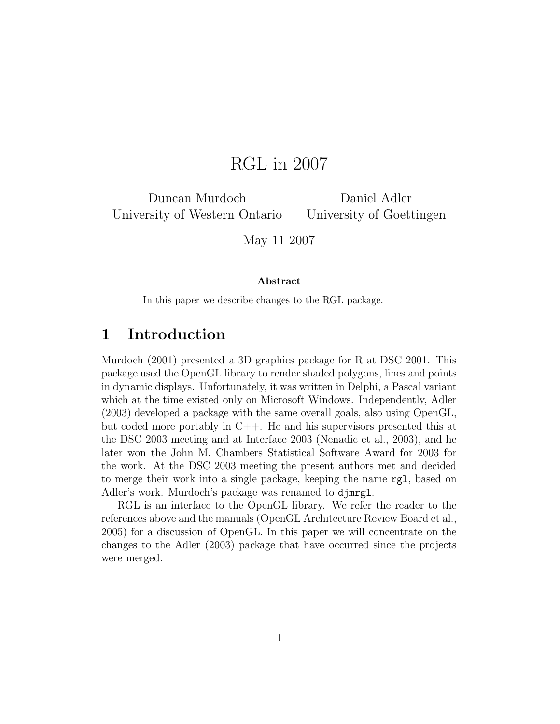# RGL in 2007

Duncan Murdoch University of Western Ontario

Daniel Adler University of Goettingen

May 11 2007

#### Abstract

In this paper we describe changes to the RGL package.

## 1 Introduction

Murdoch (2001) presented a 3D graphics package for R at DSC 2001. This package used the OpenGL library to render shaded polygons, lines and points in dynamic displays. Unfortunately, it was written in Delphi, a Pascal variant which at the time existed only on Microsoft Windows. Independently, Adler (2003) developed a package with the same overall goals, also using OpenGL, but coded more portably in C++. He and his supervisors presented this at the DSC 2003 meeting and at Interface 2003 (Nenadic et al., 2003), and he later won the John M. Chambers Statistical Software Award for 2003 for the work. At the DSC 2003 meeting the present authors met and decided to merge their work into a single package, keeping the name rgl, based on Adler's work. Murdoch's package was renamed to djmrgl.

RGL is an interface to the OpenGL library. We refer the reader to the references above and the manuals (OpenGL Architecture Review Board et al., 2005) for a discussion of OpenGL. In this paper we will concentrate on the changes to the Adler (2003) package that have occurred since the projects were merged.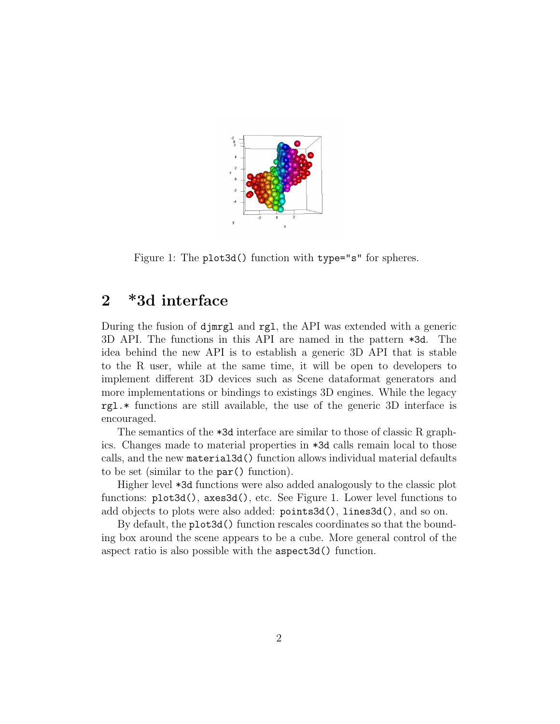

Figure 1: The plot3d() function with type="s" for spheres.

### 2 \*3d interface

During the fusion of djmrgl and rgl, the API was extended with a generic 3D API. The functions in this API are named in the pattern \*3d. The idea behind the new API is to establish a generic 3D API that is stable to the R user, while at the same time, it will be open to developers to implement different 3D devices such as Scene dataformat generators and more implementations or bindings to existings 3D engines. While the legacy rgl.\* functions are still available, the use of the generic 3D interface is encouraged.

The semantics of the \*3d interface are similar to those of classic R graphics. Changes made to material properties in \*3d calls remain local to those calls, and the new material3d() function allows individual material defaults to be set (similar to the par() function).

Higher level \*3d functions were also added analogously to the classic plot functions: plot3d(), axes3d(), etc. See Figure 1. Lower level functions to add objects to plots were also added: points3d(), lines3d(), and so on.

By default, the plot3d() function rescales coordinates so that the bounding box around the scene appears to be a cube. More general control of the aspect ratio is also possible with the aspect3d() function.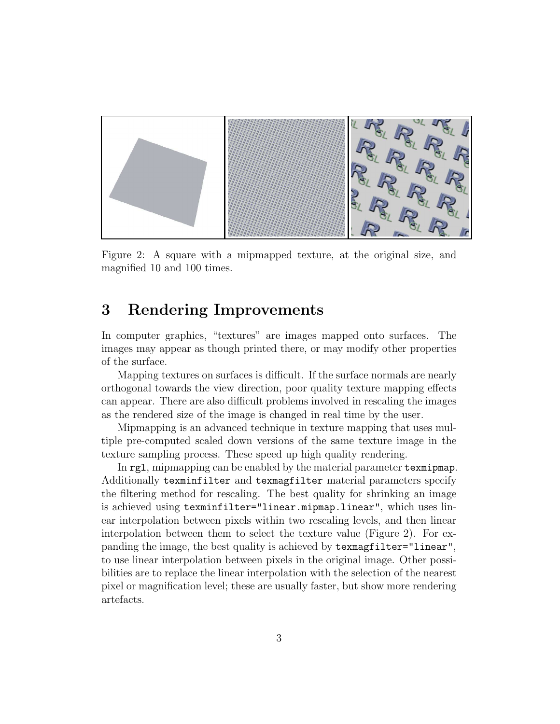

Figure 2: A square with a mipmapped texture, at the original size, and magnified 10 and 100 times.

## 3 Rendering Improvements

In computer graphics, "textures" are images mapped onto surfaces. The images may appear as though printed there, or may modify other properties of the surface.

Mapping textures on surfaces is difficult. If the surface normals are nearly orthogonal towards the view direction, poor quality texture mapping effects can appear. There are also difficult problems involved in rescaling the images as the rendered size of the image is changed in real time by the user.

Mipmapping is an advanced technique in texture mapping that uses multiple pre-computed scaled down versions of the same texture image in the texture sampling process. These speed up high quality rendering.

In rgl, mipmapping can be enabled by the material parameter texmipmap. Additionally texminfilter and texmagfilter material parameters specify the filtering method for rescaling. The best quality for shrinking an image is achieved using texminfilter="linear.mipmap.linear", which uses linear interpolation between pixels within two rescaling levels, and then linear interpolation between them to select the texture value (Figure 2). For expanding the image, the best quality is achieved by texmagfilter="linear", to use linear interpolation between pixels in the original image. Other possibilities are to replace the linear interpolation with the selection of the nearest pixel or magnification level; these are usually faster, but show more rendering artefacts.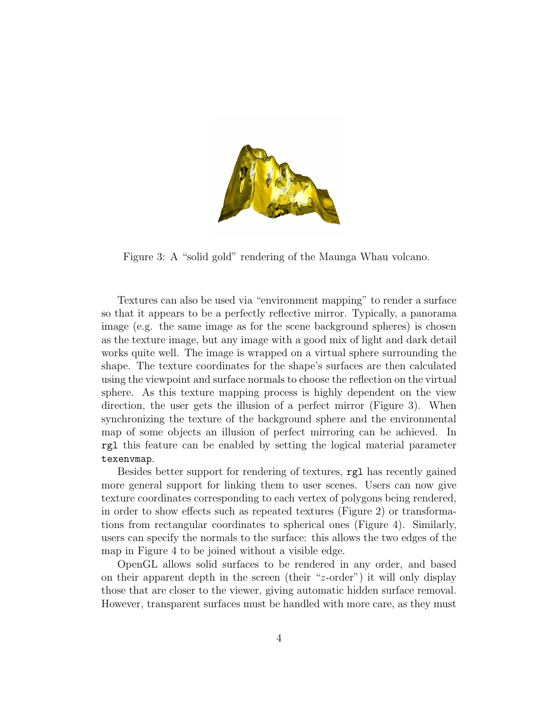

Figure 3: A "solid gold" rendering of the Maunga Whau volcano.

Textures can also be used via "environment mapping" to render a surface so that it appears to be a perfectly reflective mirror. Typically, a panorama image (e.g. the same image as for the scene background spheres) is chosen as the texture image, but any image with a good mix of light and dark detail works quite well. The image is wrapped on a virtual sphere surrounding the shape. The texture coordinates for the shape's surfaces are then calculated using the viewpoint and surface normals to choose the reflection on the virtual sphere. As this texture mapping process is highly dependent on the view direction, the user gets the illusion of a perfect mirror (Figure 3). When synchronizing the texture of the background sphere and the environmental map of some objects an illusion of perfect mirroring can be achieved. In rgl this feature can be enabled by setting the logical material parameter texenvmap.

Besides better support for rendering of textures, rgl has recently gained more general support for linking them to user scenes. Users can now give texture coordinates corresponding to each vertex of polygons being rendered, in order to show effects such as repeated textures (Figure 2) or transformations from rectangular coordinates to spherical ones (Figure 4). Similarly, users can specify the normals to the surface: this allows the two edges of the map in Figure 4 to be joined without a visible edge.

OpenGL allows solid surfaces to be rendered in any order, and based on their apparent depth in the screen (their "z-order") it will only display those that are closer to the viewer, giving automatic hidden surface removal. However, transparent surfaces must be handled with more care, as they must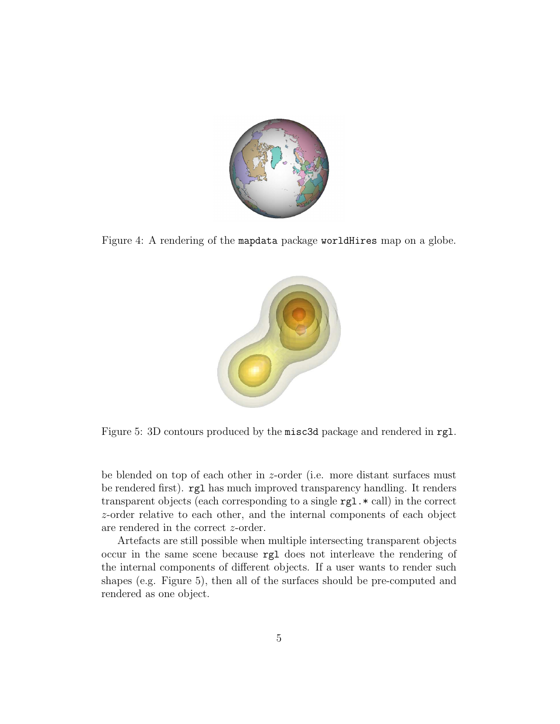

Figure 4: A rendering of the mapdata package worldHires map on a globe.



Figure 5: 3D contours produced by the misc3d package and rendered in rgl.

be blended on top of each other in z-order (i.e. more distant surfaces must be rendered first). rgl has much improved transparency handling. It renders transparent objects (each corresponding to a single rgl.\* call) in the correct z-order relative to each other, and the internal components of each object are rendered in the correct z-order.

Artefacts are still possible when multiple intersecting transparent objects occur in the same scene because rgl does not interleave the rendering of the internal components of different objects. If a user wants to render such shapes (e.g. Figure 5), then all of the surfaces should be pre-computed and rendered as one object.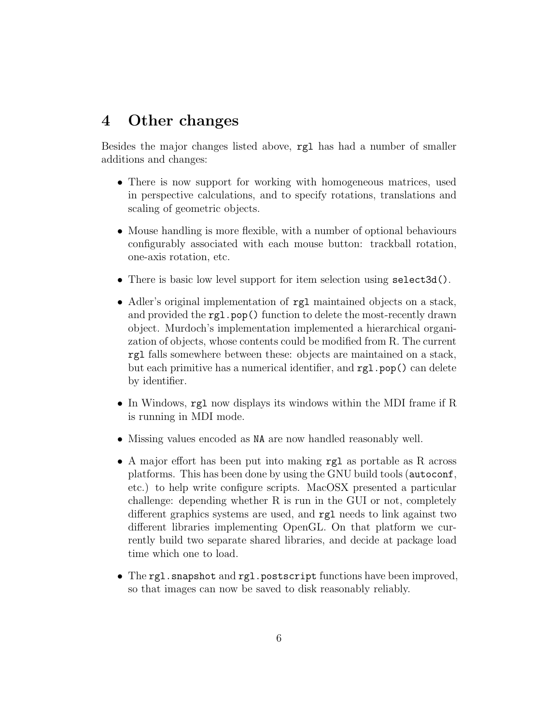## 4 Other changes

Besides the major changes listed above, rgl has had a number of smaller additions and changes:

- There is now support for working with homogeneous matrices, used in perspective calculations, and to specify rotations, translations and scaling of geometric objects.
- Mouse handling is more flexible, with a number of optional behaviours configurably associated with each mouse button: trackball rotation, one-axis rotation, etc.
- There is basic low level support for item selection using select3d().
- Adler's original implementation of rgl maintained objects on a stack, and provided the **rgl.pop**() function to delete the most-recently drawn object. Murdoch's implementation implemented a hierarchical organization of objects, whose contents could be modified from R. The current rgl falls somewhere between these: objects are maintained on a stack, but each primitive has a numerical identifier, and rgl.pop() can delete by identifier.
- In Windows, rgl now displays its windows within the MDI frame if R is running in MDI mode.
- Missing values encoded as NA are now handled reasonably well.
- A major effort has been put into making rgl as portable as R across platforms. This has been done by using the GNU build tools (autoconf, etc.) to help write configure scripts. MacOSX presented a particular challenge: depending whether R is run in the GUI or not, completely different graphics systems are used, and rgl needs to link against two different libraries implementing OpenGL. On that platform we currently build two separate shared libraries, and decide at package load time which one to load.
- The rgl.snapshot and rgl.postscript functions have been improved, so that images can now be saved to disk reasonably reliably.